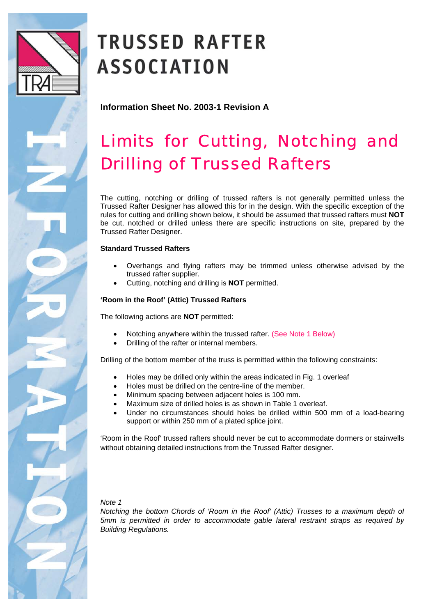

# **TRUSSED RAFTER ASSOCIATION**

**Information Sheet No. 2003-1 Revision A**

## Limits for Cutting, Notching and Drilling of Trussed Rafters

The cutting, notching or drilling of trussed rafters is not generally permitted unless the Trussed Rafter Designer has allowed this for in the design. With the specific exception of the rules for cutting and drilling shown below, it should be assumed that trussed rafters must **NOT** be cut, notched or drilled unless there are specific instructions on site, prepared by the Trussed Rafter Designer.

### **Standard Trussed Rafters**

- Overhangs and flying rafters may be trimmed unless otherwise advised by the trussed rafter supplier.
- Cutting, notching and drilling is **NOT** permitted.

### **'Room in the Roof' (Attic) Trussed Rafters**

The following actions are **NOT** permitted:

- Notching anywhere within the trussed rafter. (See Note 1 Below)
- Drilling of the rafter or internal members.

Drilling of the bottom member of the truss is permitted within the following constraints:

- Holes may be drilled only within the areas indicated in Fig. 1 overleaf
- Holes must be drilled on the centre-line of the member.
- Minimum spacing between adjacent holes is 100 mm.
- Maximum size of drilled holes is as shown in Table 1 overleaf.
- Under no circumstances should holes be drilled within 500 mm of a load-bearing support or within 250 mm of a plated splice joint.

'Room in the Roof' trussed rafters should never be cut to accommodate dormers or stairwells without obtaining detailed instructions from the Trussed Rafter designer.

*Note 1* 

*Notching the bottom Chords of 'Room in the Roof' (Attic) Trusses to a maximum depth of 5mm is permitted in order to accommodate gable lateral restraint straps as required by Building Regulations.*